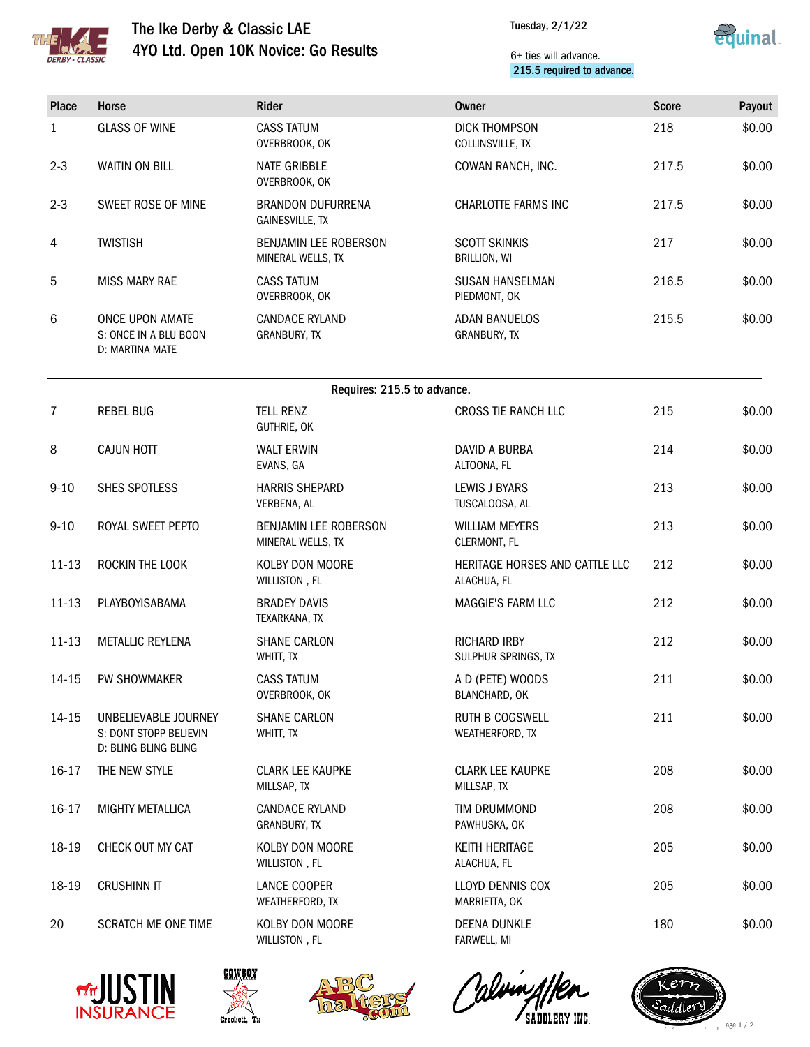

## The Ike Derby & Classic LAE 4YO Ltd. Open 10K Novice: Go Results

Tuesday, 2/1/22



## 6+ ties will advance. 215.5 required to advance.

| Place                       | Horse                                                                  | Rider                                              | <b>Owner</b>                                  | <b>Score</b> | Payout |  |  |  |  |
|-----------------------------|------------------------------------------------------------------------|----------------------------------------------------|-----------------------------------------------|--------------|--------|--|--|--|--|
| $\mathbf{1}$                | <b>GLASS OF WINE</b>                                                   | <b>CASS TATUM</b><br>OVERBROOK, OK                 | <b>DICK THOMPSON</b><br>COLLINSVILLE, TX      | 218          | \$0.00 |  |  |  |  |
| $2 - 3$                     | <b>WAITIN ON BILL</b>                                                  | <b>NATE GRIBBLE</b><br>OVERBROOK, OK               | COWAN RANCH, INC.                             | 217.5        | \$0.00 |  |  |  |  |
| $2 - 3$                     | SWEET ROSE OF MINE                                                     | <b>BRANDON DUFURRENA</b><br><b>GAINESVILLE, TX</b> | <b>CHARLOTTE FARMS INC</b>                    | 217.5        | \$0.00 |  |  |  |  |
| 4                           | <b>TWISTISH</b>                                                        | <b>BENJAMIN LEE ROBERSON</b><br>MINERAL WELLS, TX  | <b>SCOTT SKINKIS</b><br>BRILLION, WI          | 217          | \$0.00 |  |  |  |  |
| 5                           | <b>MISS MARY RAE</b>                                                   | <b>CASS TATUM</b><br>OVERBROOK, OK                 | <b>SUSAN HANSELMAN</b><br>PIEDMONT, OK        | 216.5        | \$0.00 |  |  |  |  |
| 6                           | <b>ONCE UPON AMATE</b><br>S: ONCE IN A BLU BOON<br>D: MARTINA MATE     | <b>CANDACE RYLAND</b><br>GRANBURY, TX              | <b>ADAN BANUELOS</b><br>GRANBURY, TX          | 215.5        | \$0.00 |  |  |  |  |
| Requires: 215.5 to advance. |                                                                        |                                                    |                                               |              |        |  |  |  |  |
| 7                           | <b>REBEL BUG</b>                                                       | <b>TELL RENZ</b><br>GUTHRIE, OK                    | CROSS TIE RANCH LLC                           | 215          | \$0.00 |  |  |  |  |
| 8                           | <b>CAJUN HOTT</b>                                                      | <b>WALT ERWIN</b><br>EVANS, GA                     | DAVID A BURBA<br>ALTOONA, FL                  | 214          | \$0.00 |  |  |  |  |
| $9 - 10$                    | SHES SPOTLESS                                                          | <b>HARRIS SHEPARD</b><br>VERBENA, AL               | <b>LEWIS J BYARS</b><br>TUSCALOOSA, AL        | 213          | \$0.00 |  |  |  |  |
| $9 - 10$                    | ROYAL SWEET PEPTO                                                      | BENJAMIN LEE ROBERSON<br>MINERAL WELLS, TX         | <b>WILLIAM MEYERS</b><br>CLERMONT, FL         | 213          | \$0.00 |  |  |  |  |
| $11 - 13$                   | ROCKIN THE LOOK                                                        | KOLBY DON MOORE<br>WILLISTON, FL                   | HERITAGE HORSES AND CATTLE LLC<br>ALACHUA, FL | 212          | \$0.00 |  |  |  |  |
| $11 - 13$                   | PLAYBOYISABAMA                                                         | <b>BRADEY DAVIS</b><br>TEXARKANA, TX               | MAGGIE'S FARM LLC                             | 212          | \$0.00 |  |  |  |  |
| $11 - 13$                   | <b>METALLIC REYLENA</b>                                                | <b>SHANE CARLON</b><br>WHITT, TX                   | <b>RICHARD IRBY</b><br>SULPHUR SPRINGS, TX    | 212          | \$0.00 |  |  |  |  |
| 14-15                       | PW SHOWMAKER                                                           | <b>CASS TATUM</b><br>OVERBROOK, OK                 | A D (PETE) WOODS<br>BLANCHARD, OK             | 211          | \$0.00 |  |  |  |  |
| 14-15                       | UNBELIEVABLE JOURNEY<br>S: DONT STOPP BELIEVIN<br>D: BLING BLING BLING | <b>SHANE CARLON</b><br>WHITT, TX                   | <b>RUTH B COGSWELL</b><br>WEATHERFORD, TX     | 211          | \$0.00 |  |  |  |  |
| 16-17                       | THE NEW STYLE                                                          | <b>CLARK LEE KAUPKE</b><br>MILLSAP, TX             | <b>CLARK LEE KAUPKE</b><br>MILLSAP, TX        | 208          | \$0.00 |  |  |  |  |
| $16 - 17$                   | MIGHTY METALLICA                                                       | <b>CANDACE RYLAND</b><br>GRANBURY, TX              | TIM DRUMMOND<br>PAWHUSKA, OK                  | 208          | \$0.00 |  |  |  |  |
| 18-19                       | CHECK OUT MY CAT                                                       | KOLBY DON MOORE<br>WILLISTON, FL                   | <b>KEITH HERITAGE</b><br>ALACHUA, FL          | 205          | \$0.00 |  |  |  |  |
| 18-19                       | <b>CRUSHINN IT</b>                                                     | LANCE COOPER<br>WEATHERFORD, TX                    | LLOYD DENNIS COX<br>MARRIETTA, OK             | 205          | \$0.00 |  |  |  |  |
| 20                          | <b>SCRATCH ME ONE TIME</b>                                             | KOLBY DON MOORE<br>WILLISTON, FL                   | DEENA DUNKLE<br>FARWELL, MI                   | 180          | \$0.00 |  |  |  |  |